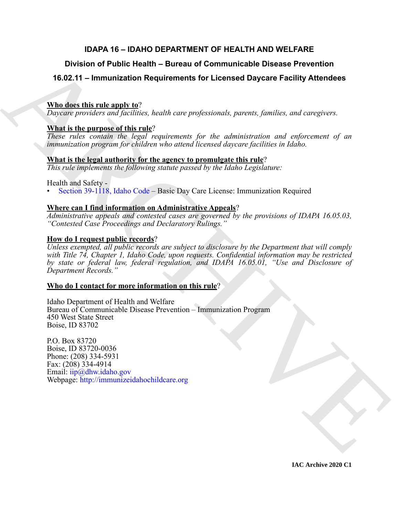# **IDAPA 16 – IDAHO DEPARTMENT OF HEALTH AND WELFARE**

# **Division of Public Health – Bureau of Communicable Disease Prevention**

# **16.02.11 – Immunization Requirements for Licensed Daycare Facility Attendees**

# **Who does this rule apply to**?

*Daycare providers and facilities, health care professionals, parents, families, and caregivers.*

# **What is the purpose of this rule**?

*These rules contain the legal requirements for the administration and enforcement of an immunization program for children who attend licensed daycare facilities in Idaho.*

# **What is the legal authority for the agency to promulgate this rule**?

*This rule implements the following statute passed by the Idaho Legislature:*

Health and Safety -

• Section 39-1118, Idaho Code – Basic Day Care License: Immunization Required

# **Where can I find information on Administrative Appeals**?

*Administrative appeals and contested cases are governed by the provisions of IDAPA 16.05.03, "Contested Case Proceedings and Declaratory Rulings."*

# **How do I request public records**?

Division of Public Health – Bureau of Communicable Disease Prevention<br>
16.02.11 – Immunization Requirements for Licensed Daycare Facility Attendees<br>
What these this regular to  $\frac{1}{2}$  ( $\frac{1}{2}$  ( $\frac{1}{2}$  ( $\frac{1}{2}$  (*Unless exempted, all public records are subject to disclosure by the Department that will comply with Title 74, Chapter 1, Idaho Code, upon requests. Confidential information may be restricted by state or federal law, federal regulation, and IDAPA 16.05.01, "Use and Disclosure of Department Records."*

# **Who do I contact for more information on this rule**?

Idaho Department of Health and Welfare Bureau of Communicable Disease Prevention – Immunization Program 450 West State Street Boise, ID 83702

P.O. Box 83720 Boise, ID 83720-0036 Phone: (208) 334-5931 Fax: (208) 334-4914 Email: iip@dhw.idaho.gov Webpage: http://immunizeidahochildcare.org

**IAC Archive 2020 C1**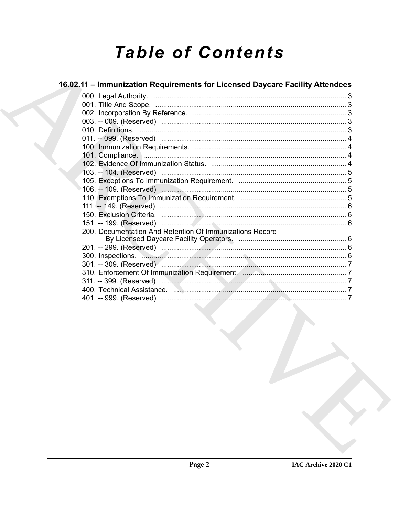# **Table of Contents**

# 16.02.11 - Immunization Requirements for Licensed Daycare Facility Attendees

| 200. Documentation And Retention Of Immunizations Record |  |
|----------------------------------------------------------|--|
|                                                          |  |
|                                                          |  |
|                                                          |  |
|                                                          |  |
|                                                          |  |
|                                                          |  |
|                                                          |  |
|                                                          |  |
|                                                          |  |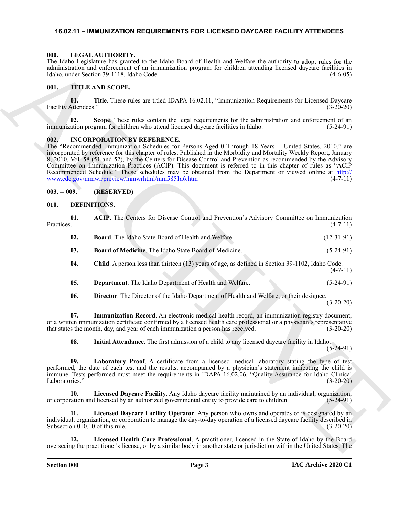#### <span id="page-2-20"></span><span id="page-2-0"></span>**16.02.11 – IMMUNIZATION REQUIREMENTS FOR LICENSED DAYCARE FACILITY ATTENDEES**

#### <span id="page-2-1"></span>**000. LEGAL AUTHORITY.**

#### <span id="page-2-21"></span><span id="page-2-2"></span>**001. TITLE AND SCOPE.**

### <span id="page-2-19"></span><span id="page-2-3"></span>**002. INCORPORATION BY REFERENCE.**

#### <span id="page-2-4"></span>**003. -- 009. (RESERVED)**

#### <span id="page-2-18"></span><span id="page-2-17"></span><span id="page-2-16"></span><span id="page-2-15"></span><span id="page-2-14"></span><span id="page-2-13"></span><span id="page-2-12"></span><span id="page-2-11"></span><span id="page-2-10"></span><span id="page-2-9"></span><span id="page-2-8"></span><span id="page-2-7"></span><span id="page-2-6"></span><span id="page-2-5"></span>**010. DEFINITIONS.**

|                                        | The Idaho Legislature has granted to the Idaho Board of Health and Welfare the authority to adopt rules for the<br>administration and enforcement of an immunization program for children attending licensed daycare facilities in<br>Idaho, under Section 39-1118, Idaho Code.                                                                                                                                                                                                                                                                                                                                                                                    | $(4-6-05)$   |
|----------------------------------------|--------------------------------------------------------------------------------------------------------------------------------------------------------------------------------------------------------------------------------------------------------------------------------------------------------------------------------------------------------------------------------------------------------------------------------------------------------------------------------------------------------------------------------------------------------------------------------------------------------------------------------------------------------------------|--------------|
| 001.                                   | <b>TITLE AND SCOPE.</b>                                                                                                                                                                                                                                                                                                                                                                                                                                                                                                                                                                                                                                            |              |
| 01.<br>Facility Attendees."            | Title. These rules are titled IDAPA 16.02.11, "Immunization Requirements for Licensed Daycare                                                                                                                                                                                                                                                                                                                                                                                                                                                                                                                                                                      | $(3-20-20)$  |
| 02.                                    | Scope. These rules contain the legal requirements for the administration and enforcement of an<br>immunization program for children who attend licensed daycare facilities in Idaho.                                                                                                                                                                                                                                                                                                                                                                                                                                                                               | $(5-24-91)$  |
| 002.                                   | <b>INCORPORATION BY REFERENCE.</b><br>The "Recommended Immunization Schedules for Persons Aged 0 Through 18 Years -- United States, 2010," are<br>incorporated by reference for this chapter of rules. Published in the Morbidity and Mortality Weekly Report, January<br>8, 2010, Vol. 58 (51 and 52), by the Centers for Disease Control and Prevention as recommended by the Advisory<br>Committee on Immunization Practices (ACIP). This document is referred to in this chapter of rules as "ACIP<br>Recommended Schedule." These schedules may be obtained from the Department or viewed online at http://<br>www.cdc.gov/mmwr/preview/mmwrhtml/mm5851a6.htm | $(4-7-11)$   |
| $003. - 009.$                          | (RESERVED)                                                                                                                                                                                                                                                                                                                                                                                                                                                                                                                                                                                                                                                         |              |
| 010.                                   | <b>DEFINITIONS.</b>                                                                                                                                                                                                                                                                                                                                                                                                                                                                                                                                                                                                                                                |              |
| 01.<br>Practices.                      | ACIP. The Centers for Disease Control and Prevention's Advisory Committee on Immunization                                                                                                                                                                                                                                                                                                                                                                                                                                                                                                                                                                          | $(4-7-11)$   |
| 02.                                    | Board. The Idaho State Board of Health and Welfare.                                                                                                                                                                                                                                                                                                                                                                                                                                                                                                                                                                                                                | $(12-31-91)$ |
| 03.                                    | Board of Medicine. The Idaho State Board of Medicine.                                                                                                                                                                                                                                                                                                                                                                                                                                                                                                                                                                                                              | $(5-24-91)$  |
| 04.                                    | Child. A person less than thirteen (13) years of age, as defined in Section 39-1102, Idaho Code.                                                                                                                                                                                                                                                                                                                                                                                                                                                                                                                                                                   | $(4-7-11)$   |
| 05.                                    | Department. The Idaho Department of Health and Welfare.                                                                                                                                                                                                                                                                                                                                                                                                                                                                                                                                                                                                            | $(5-24-91)$  |
| 06.                                    | Director. The Director of the Idaho Department of Health and Welfare, or their designee.                                                                                                                                                                                                                                                                                                                                                                                                                                                                                                                                                                           | $(3-20-20)$  |
| 07.                                    | Immunization Record. An electronic medical health record, an immunization registry document,<br>or a written immunization certificate confirmed by a licensed health care professional or a physician's representative<br>that states the month, day, and year of each immunization a person has received.                                                                                                                                                                                                                                                                                                                                                         | $(3-20-20)$  |
| 08.                                    | Initial Attendance. The first admission of a child to any licensed daycare facility in Idaho.                                                                                                                                                                                                                                                                                                                                                                                                                                                                                                                                                                      | $(5-24-91)$  |
| 09.<br>Laboratories."                  | Laboratory Proof. A certificate from a licensed medical laboratory stating the type of test<br>performed, the date of each test and the results, accompanied by a physician's statement indicating the child is<br>immune. Tests performed must meet the requirements in IDAPA 16.02.06, "Quality Assurance for Idaho Clinical                                                                                                                                                                                                                                                                                                                                     | $(3-20-20)$  |
| 10.                                    | Licensed Daycare Facility. Any Idaho daycare facility maintained by an individual, organization,<br>or corporation and licensed by an authorized governmental entity to provide care to children.                                                                                                                                                                                                                                                                                                                                                                                                                                                                  | $(5-24-91)$  |
| 11.<br>Subsection 010.10 of this rule. | Licensed Daycare Facility Operator. Any person who owns and operates or is designated by an<br>individual, organization, or corporation to manage the day-to-day operation of a licensed daycare facility described in                                                                                                                                                                                                                                                                                                                                                                                                                                             | $(3-20-20)$  |
| 12.                                    | Licensed Health Care Professional. A practitioner, licensed in the State of Idaho by the Board<br>overseeing the practitioner's license, or by a similar body in another state or jurisdiction within the United States. The                                                                                                                                                                                                                                                                                                                                                                                                                                       |              |
|                                        |                                                                                                                                                                                                                                                                                                                                                                                                                                                                                                                                                                                                                                                                    |              |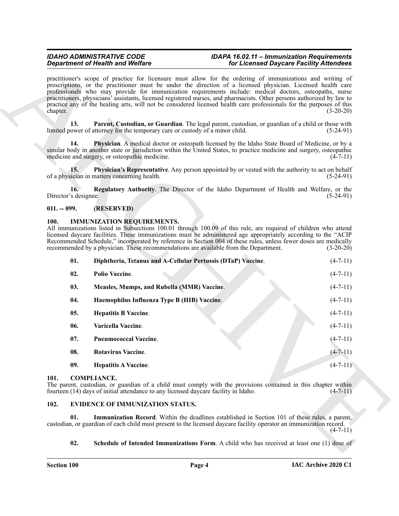#### <span id="page-3-5"></span>*IDAHO ADMINISTRATIVE CODE IDAPA 16.02.11 – Immunization Requirements Department of Health and Welfare for Licensed Daycare Facility Attendees*

### <span id="page-3-8"></span><span id="page-3-7"></span><span id="page-3-6"></span><span id="page-3-0"></span>**011. -- 099. (RESERVED)**

#### <span id="page-3-19"></span><span id="page-3-17"></span><span id="page-3-14"></span><span id="page-3-13"></span><span id="page-3-12"></span><span id="page-3-1"></span>**100. IMMUNIZATION REQUIREMENTS.**

|      |                             | <b>Department of Health and Welfare</b>                                                                                   | for Licensed Daycare Facility Attendees                                                                                                                                                                                                                                                                                                                                                                                                                                                                                                                                                 |                |
|------|-----------------------------|---------------------------------------------------------------------------------------------------------------------------|-----------------------------------------------------------------------------------------------------------------------------------------------------------------------------------------------------------------------------------------------------------------------------------------------------------------------------------------------------------------------------------------------------------------------------------------------------------------------------------------------------------------------------------------------------------------------------------------|----------------|
|      | chapter.                    |                                                                                                                           | practitioner's scope of practice for licensure must allow for the ordering of immunizations and writing of<br>prescriptions, or the practitioner must be under the direction of a licensed physician. Licensed health care<br>professionals who may provide for immunization requirements include: medical doctors, osteopaths, nurse<br>practitioners, physicians' assistants, licensed registered nurses, and pharmacists. Other persons authorized by law to<br>practice any of the healing arts, will not be considered licensed health care professionals for the purposes of this | $(3-20-20)$    |
|      | 13.                         | limited power of attorney for the temporary care or custody of a minor child.                                             | Parent, Custodian, or Guardian. The legal parent, custodian, or guardian of a child or those with                                                                                                                                                                                                                                                                                                                                                                                                                                                                                       | $(5-24-91)$    |
|      | 14.                         | medicine and surgery, or osteopathic medicine.                                                                            | Physician. A medical doctor or osteopath licensed by the Idaho State Board of Medicine, or by a<br>similar body in another state or jurisdiction within the United States, to practice medicine and surgery, osteopathic                                                                                                                                                                                                                                                                                                                                                                | $(4-7-11)$     |
|      | 15.                         | of a physician in matters concerning health.                                                                              | Physician's Representative. Any person appointed by or vested with the authority to act on behalf                                                                                                                                                                                                                                                                                                                                                                                                                                                                                       | $(5-24-91)$    |
|      | 16.<br>Director's designee. |                                                                                                                           | Regulatory Authority. The Director of the Idaho Department of Health and Welfare, or the                                                                                                                                                                                                                                                                                                                                                                                                                                                                                                | $(5-24-91)$    |
|      | $011. - 099.$               | (RESERVED)                                                                                                                |                                                                                                                                                                                                                                                                                                                                                                                                                                                                                                                                                                                         |                |
|      | <b>100.</b>                 | <b>IMMUNIZATION REQUIREMENTS.</b><br>recommended by a physician. These recommendations are available from the Department. | All immunizations listed in Subsections 100.01 through 100.09 of this rule, are required of children who attend<br>licensed daycare facilities. These immunizations must be administered age appropriately according to the "ACIP<br>Recommended Schedule," incorporated by reference in Section 004 of these rules, unless fewer doses are medically                                                                                                                                                                                                                                   | $(3-20-20)$    |
|      | 01.                         | Diphtheria, Tetanus and A-Cellular Pertussis (DTaP) Vaccine.                                                              |                                                                                                                                                                                                                                                                                                                                                                                                                                                                                                                                                                                         | $(4-7-11)$     |
|      | 02.                         | Polio Vaccine.                                                                                                            |                                                                                                                                                                                                                                                                                                                                                                                                                                                                                                                                                                                         | $(4-7-11)$     |
|      | 03.                         | Measles, Mumps, and Rubella (MMR) Vaccine.                                                                                |                                                                                                                                                                                                                                                                                                                                                                                                                                                                                                                                                                                         | $(4-7-11)$     |
|      | 04.                         | Haemophilus Influenza Type B (HIB) Vaccine.                                                                               |                                                                                                                                                                                                                                                                                                                                                                                                                                                                                                                                                                                         | $(4-7-11)$     |
|      | 05.                         | <b>Hepatitis B Vaccine.</b>                                                                                               |                                                                                                                                                                                                                                                                                                                                                                                                                                                                                                                                                                                         | $(4-7-11)$     |
|      | 06.                         | Varicella Vaccine.                                                                                                        |                                                                                                                                                                                                                                                                                                                                                                                                                                                                                                                                                                                         | $(4-7-11)$     |
|      | 07.                         | <b>Pneumococcal Vaccine.</b>                                                                                              |                                                                                                                                                                                                                                                                                                                                                                                                                                                                                                                                                                                         | $(4-7-11)$     |
|      | 08.                         | <b>Rotavirus Vaccine.</b>                                                                                                 |                                                                                                                                                                                                                                                                                                                                                                                                                                                                                                                                                                                         | $(4 - 7 - 11)$ |
|      | 09.                         | <b>Hepatitis A Vaccine.</b>                                                                                               |                                                                                                                                                                                                                                                                                                                                                                                                                                                                                                                                                                                         | $(4-7-11)$     |
| 101. |                             | <b>COMPLIANCE.</b><br>fourteen (14) days of initial attendance to any licensed daycare facility in Idaho.                 | The parent, custodian, or guardian of a child must comply with the provisions contained in this chapter within                                                                                                                                                                                                                                                                                                                                                                                                                                                                          | $(4 - 7 - 11)$ |
|      | 102.                        | EVIDENCE OF IMMUNIZATION STATUS.                                                                                          |                                                                                                                                                                                                                                                                                                                                                                                                                                                                                                                                                                                         |                |
|      | 01.                         |                                                                                                                           | <b>Immunization Record.</b> Within the deadlines established in Section 101 of these rules, a parent,<br>custodian, or guardian of each child must present to the licensed daycare facility operator an immunization record.                                                                                                                                                                                                                                                                                                                                                            | $(4-7-11)$     |
|      | 02.                         | <b>Schedule of Intended Immunizations Form.</b> A child who has received at least one (1) dose of                         |                                                                                                                                                                                                                                                                                                                                                                                                                                                                                                                                                                                         |                |

#### <span id="page-3-21"></span><span id="page-3-20"></span><span id="page-3-18"></span><span id="page-3-16"></span><span id="page-3-15"></span><span id="page-3-4"></span><span id="page-3-2"></span>**101. COMPLIANCE.**

### <span id="page-3-11"></span><span id="page-3-10"></span><span id="page-3-9"></span><span id="page-3-3"></span>**102. EVIDENCE OF IMMUNIZATION STATUS.**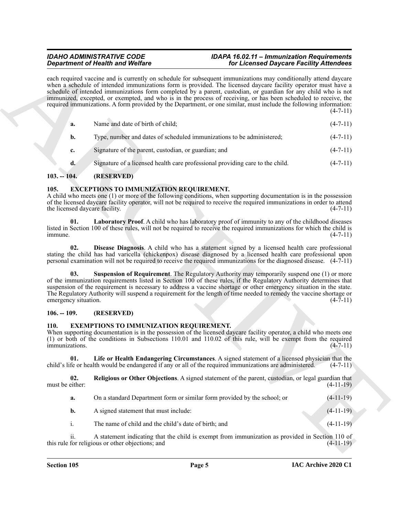#### *IDAHO ADMINISTRATIVE CODE IDAPA 16.02.11 – Immunization Requirements Department of Health and Welfare for Licensed Daycare Facility Attendees*

|                                        | <b>Department of Health and Welfare</b>                               | for Licensed Daycare Facility Attendees                                                                                                                                                                                                                                                                                                                                                                                                                                                                                                                                                       |             |
|----------------------------------------|-----------------------------------------------------------------------|-----------------------------------------------------------------------------------------------------------------------------------------------------------------------------------------------------------------------------------------------------------------------------------------------------------------------------------------------------------------------------------------------------------------------------------------------------------------------------------------------------------------------------------------------------------------------------------------------|-------------|
|                                        |                                                                       | each required vaccine and is currently on schedule for subsequent immunizations may conditionally attend daycare<br>when a schedule of intended immunizations form is provided. The licensed daycare facility operator must have a<br>schedule of intended immunizations form completed by a parent, custodian, or guardian for any child who is not<br>immunized, excepted, or exempted, and who is in the process of receiving, or has been scheduled to receive, the<br>required immunizations. A form provided by the Department, or one similar, must include the following information: | $(4-7-11)$  |
| a.                                     | Name and date of birth of child;                                      |                                                                                                                                                                                                                                                                                                                                                                                                                                                                                                                                                                                               | $(4-7-11)$  |
| b.                                     | Type, number and dates of scheduled immunizations to be administered; |                                                                                                                                                                                                                                                                                                                                                                                                                                                                                                                                                                                               | $(4-7-11)$  |
| c.                                     | Signature of the parent, custodian, or guardian; and                  |                                                                                                                                                                                                                                                                                                                                                                                                                                                                                                                                                                                               | $(4-7-11)$  |
| d.                                     |                                                                       | Signature of a licensed health care professional providing care to the child.                                                                                                                                                                                                                                                                                                                                                                                                                                                                                                                 | $(4-7-11)$  |
| $103. - 104.$                          | (RESERVED)                                                            |                                                                                                                                                                                                                                                                                                                                                                                                                                                                                                                                                                                               |             |
| 105.<br>the licensed daycare facility. | <b>EXCEPTIONS TO IMMUNIZATION REQUIREMENT.</b>                        | A child who meets one (1) or more of the following conditions, when supporting documentation is in the possession<br>of the licensed daycare facility operator, will not be required to receive the required immunizations in order to attend                                                                                                                                                                                                                                                                                                                                                 | $(4-7-11)$  |
| 01.<br>immune.                         |                                                                       | Laboratory Proof. A child who has laboratory proof of immunity to any of the childhood diseases<br>listed in Section 100 of these rules, will not be required to receive the required immunizations for which the child is                                                                                                                                                                                                                                                                                                                                                                    | $(4-7-11)$  |
| 02.                                    |                                                                       | Disease Diagnosis. A child who has a statement signed by a licensed health care professional<br>stating the child has had varicella (chickenpox) disease diagnosed by a licensed health care professional upon<br>personal examination will not be required to receive the required immunizations for the diagnosed disease. (4-7-11)                                                                                                                                                                                                                                                         |             |
| 03.<br>emergency situation.            |                                                                       | Suspension of Requirement. The Regulatory Authority may temporarily suspend one (1) or more<br>of the immunization requirements listed in Section 100 of these rules, if the Regulatory Authority determines that<br>suspension of the requirement is necessary to address a vaccine shortage or other emergency situation in the state.<br>The Regulatory Authority will suspend a requirement for the length of time needed to remedy the vaccine shortage or                                                                                                                               | $(4-7-11)$  |
| $106. - 109.$                          | (RESERVED)                                                            |                                                                                                                                                                                                                                                                                                                                                                                                                                                                                                                                                                                               |             |
| <b>110.</b><br>immunizations.          | <b>EXEMPTIONS TO IMMUNIZATION REQUIREMENT.</b>                        | When supporting documentation is in the possession of the licensed daycare facility operator, a child who meets one<br>(1) or both of the conditions in Subsections 110.01 and 110.02 of this rule, will be exempt from the required                                                                                                                                                                                                                                                                                                                                                          | $(4-7-11)$  |
| 01.                                    |                                                                       | Life or Health Endangering Circumstances. A signed statement of a licensed physician that the<br>child's life or health would be endangered if any or all of the required immunizations are administered.                                                                                                                                                                                                                                                                                                                                                                                     | $(4-7-11)$  |
| 02.<br>must be either:                 |                                                                       | Religious or Other Objections. A signed statement of the parent, custodian, or legal guardian that                                                                                                                                                                                                                                                                                                                                                                                                                                                                                            | $(4-11-19)$ |
| a.                                     |                                                                       | On a standard Department form or similar form provided by the school; or                                                                                                                                                                                                                                                                                                                                                                                                                                                                                                                      | $(4-11-19)$ |
| b.                                     | A signed statement that must include:                                 |                                                                                                                                                                                                                                                                                                                                                                                                                                                                                                                                                                                               | $(4-11-19)$ |
|                                        | The name of child and the child's date of birth; and                  |                                                                                                                                                                                                                                                                                                                                                                                                                                                                                                                                                                                               | $(4-11-19)$ |
| i.                                     |                                                                       |                                                                                                                                                                                                                                                                                                                                                                                                                                                                                                                                                                                               |             |

### <span id="page-4-0"></span>**103. -- 104. (RESERVED)**

### <span id="page-4-6"></span><span id="page-4-5"></span><span id="page-4-4"></span><span id="page-4-1"></span>**105. EXCEPTIONS TO IMMUNIZATION REQUIREMENT.**

#### <span id="page-4-7"></span><span id="page-4-2"></span>**106. -- 109. (RESERVED)**

### <span id="page-4-8"></span><span id="page-4-3"></span>**110. EXEMPTIONS TO IMMUNIZATION REQUIREMENT.**

<span id="page-4-10"></span><span id="page-4-9"></span>

| On a standard Department form or similar form provided by the school; or | $(4-11-19)$ |
|--------------------------------------------------------------------------|-------------|
| A signed statement that must include:                                    | $(4-11-19)$ |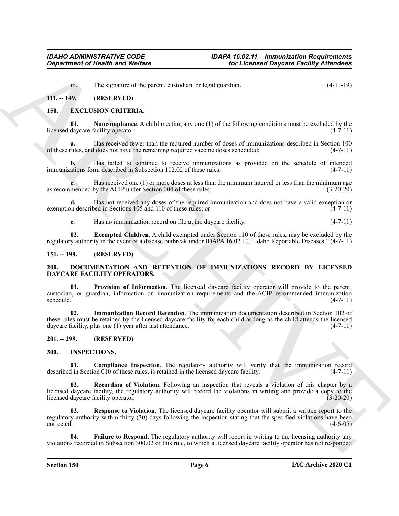<span id="page-5-11"></span><span id="page-5-9"></span>iii. The signature of the parent, custodian, or legal guardian. (4-11-19)

#### <span id="page-5-0"></span>**111. -- 149. (RESERVED)**

#### <span id="page-5-1"></span>**150. EXCLUSION CRITERIA.**

**01. Noncompliance**. A child meeting any one (1) of the following conditions must be excluded by the licensed daycare facility operator: (4-7-11)

**a.** Has received fewer than the required number of doses of immunizations described in Section 100 of these rules, and does not have the remaining required vaccine doses scheduled; (4-7-11)

**b.** Has failed to continue to receive immunizations as provided on the schedule of intended immunizations form described in Subsection 102.02 of these rules; (4-7-11)

**c.** Has received one (1) or more doses at less than the minimum interval or less than the minimum age as recommended by the ACIP under Section 004 of these rules; (3-20-20)

**d.** Has not received any doses of the required immunization and does not have a valid exception or exemption described in Sections 105 and 110 of these rules; or  $(4-7-11)$ 

<span id="page-5-10"></span>**e.** Has no immunization record on file at the daycare facility. (4-7-11)

**02. Exempted Children**. A child exempted under Section 110 of these rules, may be excluded by the regulatory authority in the event of a disease outbreak under IDAPA 16.02.10, "Idaho Reportable Diseases." (4-7-11)

#### <span id="page-5-6"></span><span id="page-5-2"></span>**151. -- 199. (RESERVED)**

#### <span id="page-5-3"></span>**200. DOCUMENTATION AND RETENTION OF IMMUNIZATIONS RECORD BY LICENSED DAYCARE FACILITY OPERATORS.**

<span id="page-5-8"></span><span id="page-5-7"></span>**Provision of Information**. The licensed daycare facility operator will provide to the parent, custodian, or guardian, information on immunization requirements and the ACIP recommended immunization schedule. (4-7-11)

**Experiment of Nearth was Welfare**<br>
1. The signature of the signature of the signature of the signature of the signature of the signature of the signature of the signature of the signature of the signature of the signatur **02. Immunization Record Retention**. The immunization documentation described in Section 102 of these rules must be retained by the licensed daycare facility for each child as long as the child attends the licensed daycare facility, plus one (1) year after last attendance. (4-7-11)

#### <span id="page-5-4"></span>**201. -- 299. (RESERVED)**

#### <span id="page-5-12"></span><span id="page-5-5"></span>**300. INSPECTIONS.**

<span id="page-5-13"></span>**01. Compliance Inspection**. The regulatory authority will verify that the immunization record d in Section 010 of these rules, is retained in the licensed daycare facility. (4-7-11) described in Section 010 of these rules, is retained in the licensed daycare facility.

<span id="page-5-15"></span>**Recording of Violation**. Following an inspection that reveals a violation of this chapter by a licensed daycare facility, the regulatory authority will record the violations in writing and provide a copy to the licensed daycare facility operator. (3-20-20) licensed daycare facility operator.

<span id="page-5-16"></span>**Response to Violation**. The licensed daycare facility operator will submit a written report to the regulatory authority within thirty (30) days following the inspection stating that the specified violations have been corrected. (4-6-05)

<span id="page-5-14"></span>**04. Failure to Respond**. The regulatory authority will report in writing to the licensing authority any violations recorded in Subsection 300.02 of this rule, to which a licensed daycare facility operator has not responded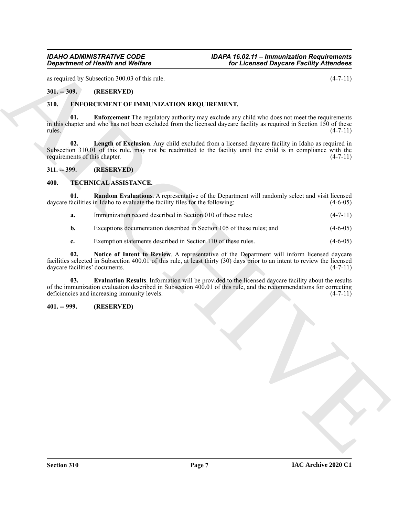*IDAHO ADMINISTRATIVE CODE IDAPA 16.02.11 – Immunization Requirements Department of Health and Welfare for Licensed Daycare Facility Attendees*

as required by Subsection 300.03 of this rule. (4-7-11)

### <span id="page-6-0"></span>**301. -- 309. (RESERVED)**

#### <span id="page-6-6"></span><span id="page-6-5"></span><span id="page-6-1"></span>**310. ENFORCEMENT OF IMMUNIZATION REQUIREMENT.**

**Equation of Nicolah wave Wolfing Control in the License Chapter Facility Attention<br>
ARCHIVES SMCCHIVES OF DELIVERS RECOURSE RECOURSE AND A CONTROL (4-7-11)<br>
ARCHIVES OF THE STREET TOT UNIVERSITY (1)<br>
ARCHIVES ARCHIVES IN 01. Enforcement** The regulatory authority may exclude any child who does not meet the requirements in this chapter and who has not been excluded from the licensed daycare facility as required in Section 150 of these rules. (4-7-11)

<span id="page-6-7"></span>**02. Length of Exclusion**. Any child excluded from a licensed daycare facility in Idaho as required in Subsection 310.01 of this rule, may not be readmitted to the facility until the child is in compliance with the requirements of this chapter.  $(4-7-11)$ requirements of this chapter.

<span id="page-6-2"></span>**311. -- 399. (RESERVED)**

#### <span id="page-6-8"></span><span id="page-6-3"></span>**400. TECHNICAL ASSISTANCE.**

**01. Random Evaluations**. A representative of the Department will randomly select and visit licensed daycare facilities in Idaho to evaluate the facility files for the following: (4-6-05) (4-6-05)

<span id="page-6-11"></span>**a.** Immunization record described in Section 010 of these rules; (4-7-11)

**b.** Exceptions documentation described in Section 105 of these rules; and (4-6-05)

<span id="page-6-10"></span><span id="page-6-9"></span>**c.** Exemption statements described in Section 110 of these rules. (4-6-05)

**02. Notice of Intent to Review**. A representative of the Department will inform licensed daycare facilities selected in Subsection 400.01 of this rule, at least thirty (30) days prior to an intent to review the licensed daycare facilities' documents. (4-7-11)

**03. Evaluation Results**. Information will be provided to the licensed daycare facility about the results of the immunization evaluation described in Subsection  $400.01$  of this rule, and the recommendations for correcting deficiencies and increasing immunity levels.  $(4-7-11)$ deficiencies and increasing immunity levels.

#### <span id="page-6-4"></span>**401. -- 999. (RESERVED)**